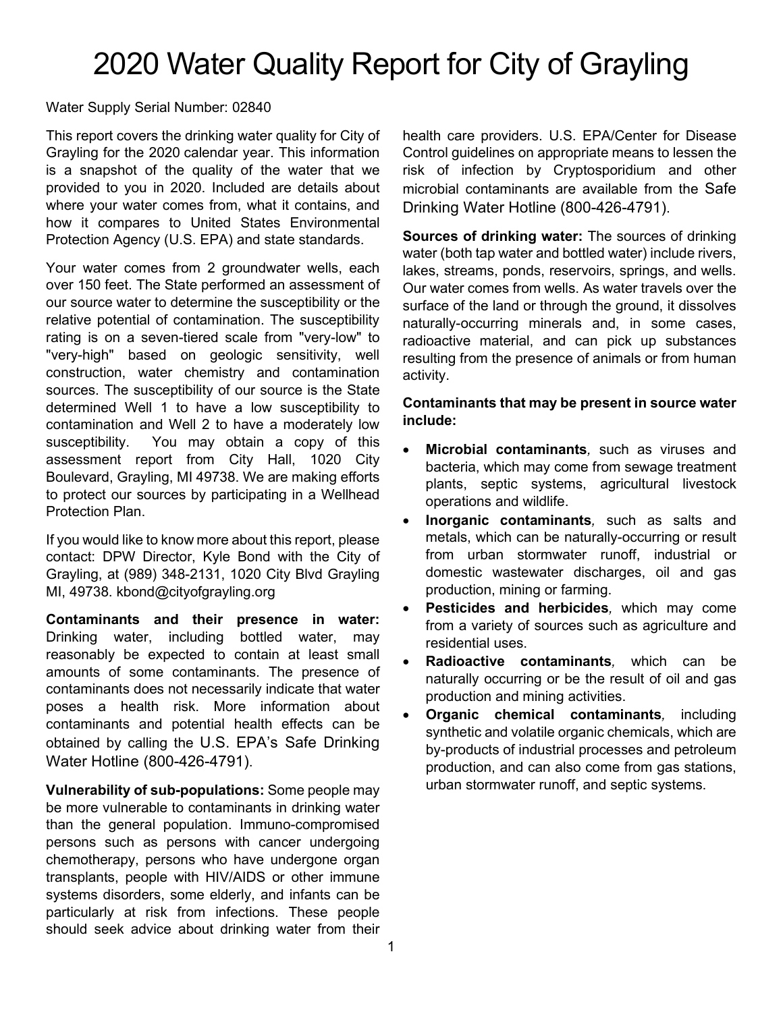# 2020 Water Quality Report for City of Grayling

## Water Supply Serial Number: 02840

This report covers the drinking water quality for City of Grayling for the 2020 calendar year. This information is a snapshot of the quality of the water that we provided to you in 2020. Included are details about where your water comes from, what it contains, and how it compares to United States Environmental Protection Agency (U.S. EPA) and state standards.

Your water comes from 2 groundwater wells, each over 150 feet. The State performed an assessment of our source water to determine the susceptibility or the relative potential of contamination. The susceptibility rating is on a seven-tiered scale from "very-low" to "very-high" based on geologic sensitivity, well construction, water chemistry and contamination sources. The susceptibility of our source is the State determined Well 1 to have a low susceptibility to contamination and Well 2 to have a moderately low susceptibility. You may obtain a copy of this assessment report from City Hall, 1020 City Boulevard, Grayling, MI 49738. We are making efforts to protect our sources by participating in a Wellhead Protection Plan.

If you would like to know more about this report, please contact: DPW Director, Kyle Bond with the City of Grayling, at (989) 348-2131, 1020 City Blvd Grayling MI, 49738. kbond@cityofgrayling.org

**Contaminants and their presence in water:**  Drinking water, including bottled water, may reasonably be expected to contain at least small amounts of some contaminants. The presence of contaminants does not necessarily indicate that water poses a health risk. More information about contaminants and potential health effects can be obtained by calling the U.S. EPA's Safe Drinking Water Hotline (800-426-4791).

**Vulnerability of sub-populations:** Some people may be more vulnerable to contaminants in drinking water than the general population. Immuno-compromised persons such as persons with cancer undergoing chemotherapy, persons who have undergone organ transplants, people with HIV/AIDS or other immune systems disorders, some elderly, and infants can be particularly at risk from infections. These people should seek advice about drinking water from their health care providers. U.S. EPA/Center for Disease Control guidelines on appropriate means to lessen the risk of infection by Cryptosporidium and other microbial contaminants are available from the Safe Drinking Water Hotline (800-426-4791).

**Sources of drinking water:** The sources of drinking water (both tap water and bottled water) include rivers, lakes, streams, ponds, reservoirs, springs, and wells. Our water comes from wells. As water travels over the surface of the land or through the ground, it dissolves naturally-occurring minerals and, in some cases, radioactive material, and can pick up substances resulting from the presence of animals or from human activity.

#### **Contaminants that may be present in source water include:**

- **Microbial contaminants***,* such as viruses and bacteria, which may come from sewage treatment plants, septic systems, agricultural livestock operations and wildlife.
- **Inorganic contaminants***,* such as salts and metals, which can be naturally-occurring or result from urban stormwater runoff, industrial or domestic wastewater discharges, oil and gas production, mining or farming.
- **Pesticides and herbicides***,* which may come from a variety of sources such as agriculture and residential uses.
- **Radioactive contaminants***,* which can be naturally occurring or be the result of oil and gas production and mining activities.
- **Organic chemical contaminants***,* including synthetic and volatile organic chemicals, which are by-products of industrial processes and petroleum production, and can also come from gas stations, urban stormwater runoff, and septic systems.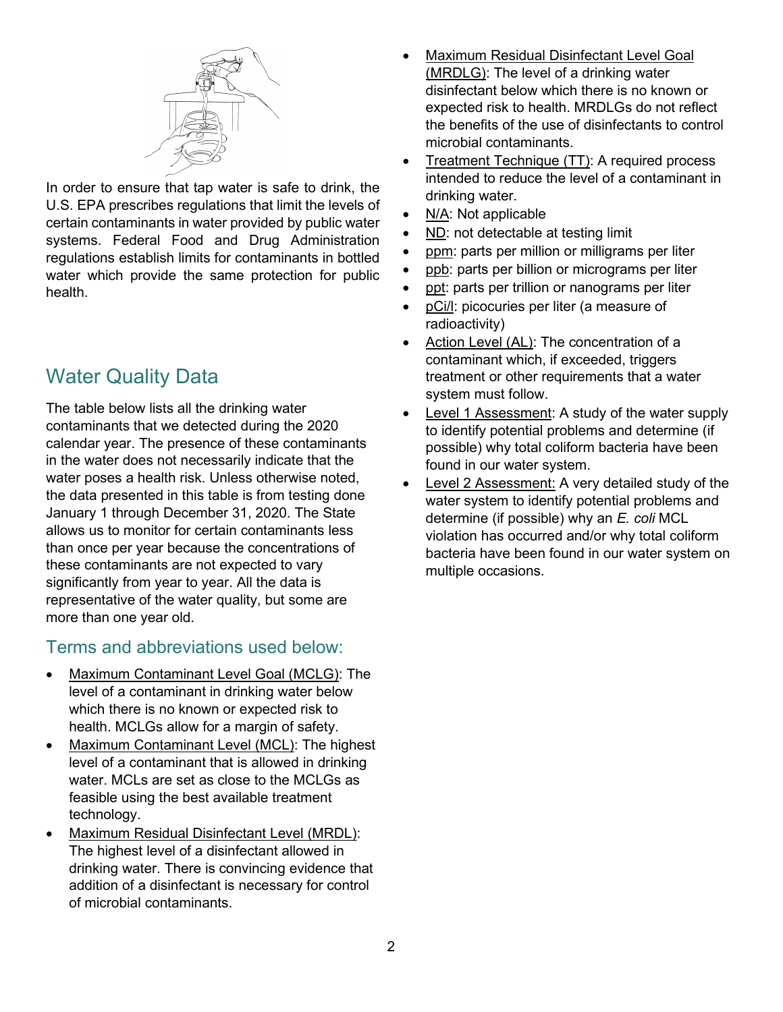

In order to ensure that tap water is safe to drink, the U.S. EPA prescribes regulations that limit the levels of certain contaminants in water provided by public water systems. Federal Food and Drug Administration regulations establish limits for contaminants in bottled water which provide the same protection for public health.

# Water Quality Data

The table below lists all the drinking water contaminants that we detected during the 2020 calendar year. The presence of these contaminants in the water does not necessarily indicate that the water poses a health risk. Unless otherwise noted, the data presented in this table is from testing done January 1 through December 31, 2020. The State allows us to monitor for certain contaminants less than once per year because the concentrations of these contaminants are not expected to vary significantly from year to year. All the data is representative of the water quality, but some are more than one year old.

# Terms and abbreviations used below:

- Maximum Contaminant Level Goal (MCLG): The level of a contaminant in drinking water below which there is no known or expected risk to health. MCLGs allow for a margin of safety.
- Maximum Contaminant Level (MCL): The highest level of a contaminant that is allowed in drinking water. MCLs are set as close to the MCLGs as feasible using the best available treatment technology.
- Maximum Residual Disinfectant Level (MRDL): The highest level of a disinfectant allowed in drinking water. There is convincing evidence that addition of a disinfectant is necessary for control of microbial contaminants.
- Maximum Residual Disinfectant Level Goal (MRDLG): The level of a drinking water disinfectant below which there is no known or expected risk to health. MRDLGs do not reflect the benefits of the use of disinfectants to control microbial contaminants.
- Treatment Technique (TT): A required process intended to reduce the level of a contaminant in drinking water.
- N/A: Not applicable
- ND: not detectable at testing limit
- ppm: parts per million or milligrams per liter
- ppb: parts per billion or micrograms per liter
- ppt: parts per trillion or nanograms per liter
- pCi/l: picocuries per liter (a measure of radioactivity)
- Action Level (AL): The concentration of a contaminant which, if exceeded, triggers treatment or other requirements that a water system must follow.
- **Level 1 Assessment: A study of the water supply** to identify potential problems and determine (if possible) why total coliform bacteria have been found in our water system.
- Level 2 Assessment: A very detailed study of the water system to identify potential problems and determine (if possible) why an *E. coli* MCL violation has occurred and/or why total coliform bacteria have been found in our water system on multiple occasions.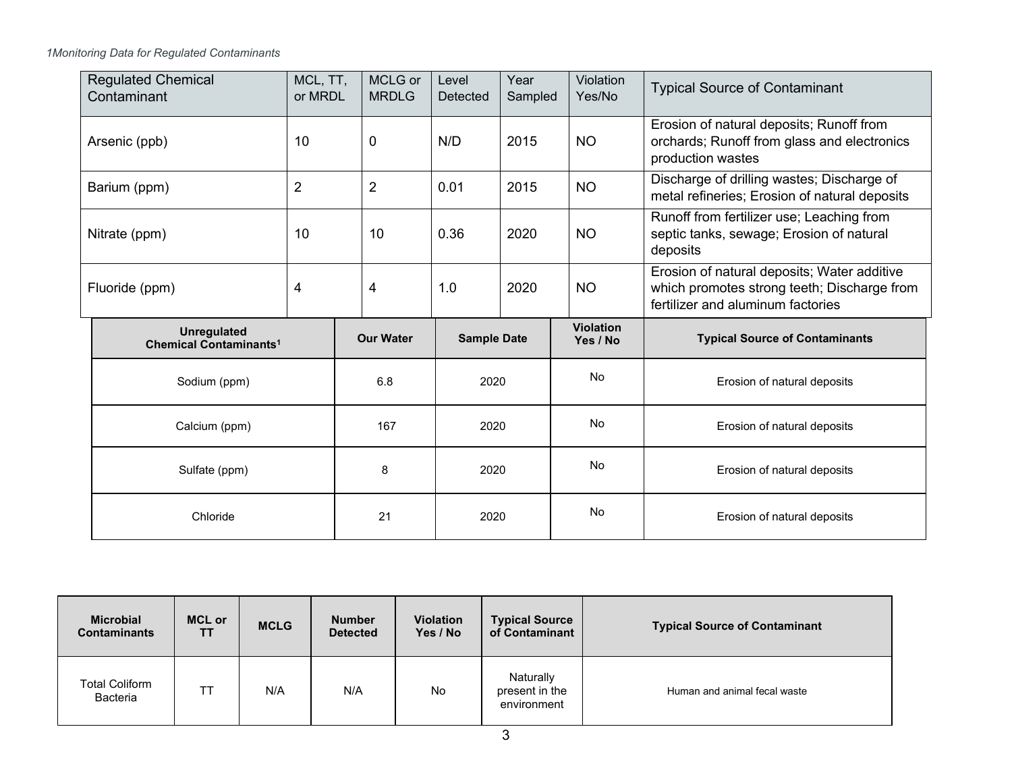*1Monitoring Data for Regulated Contaminants*

| <b>Regulated Chemical</b><br>Contaminant                       | MCL, TT,<br>or MRDL | MCLG or<br><b>MRDLG</b> | Level<br>Detected  | Year<br>Sampled | Violation<br>Yes/No          | <b>Typical Source of Contaminant</b>                                                                                            |
|----------------------------------------------------------------|---------------------|-------------------------|--------------------|-----------------|------------------------------|---------------------------------------------------------------------------------------------------------------------------------|
| Arsenic (ppb)                                                  | 10                  | $\mathbf 0$             | N/D                | 2015            | <b>NO</b>                    | Erosion of natural deposits; Runoff from<br>orchards; Runoff from glass and electronics<br>production wastes                    |
| Barium (ppm)                                                   | $\overline{2}$      | $\overline{2}$          | 0.01               | 2015            | <b>NO</b>                    | Discharge of drilling wastes; Discharge of<br>metal refineries; Erosion of natural deposits                                     |
| Nitrate (ppm)                                                  | 10                  | 10                      | 0.36               | 2020            | <b>NO</b>                    | Runoff from fertilizer use; Leaching from<br>septic tanks, sewage; Erosion of natural<br>deposits                               |
| Fluoride (ppm)                                                 | 4                   | $\overline{4}$          | 1.0                | 2020            | <b>NO</b>                    | Erosion of natural deposits; Water additive<br>which promotes strong teeth; Discharge from<br>fertilizer and aluminum factories |
| <b>Unregulated</b><br><b>Chemical Contaminants<sup>1</sup></b> |                     | <b>Our Water</b>        | <b>Sample Date</b> |                 | <b>Violation</b><br>Yes / No | <b>Typical Source of Contaminants</b>                                                                                           |
| Sodium (ppm)                                                   |                     | 6.8                     | 2020               |                 | <b>No</b>                    | Erosion of natural deposits                                                                                                     |
| Calcium (ppm)                                                  |                     | 167                     | 2020               |                 | No                           | Erosion of natural deposits                                                                                                     |
| Sulfate (ppm)                                                  |                     | 8                       | 2020               |                 | <b>No</b>                    | Erosion of natural deposits                                                                                                     |
| Chloride                                                       |                     | 21                      | 2020               |                 | <b>No</b>                    | Erosion of natural deposits                                                                                                     |

| <b>Microbial</b><br><b>Contaminants</b> | <b>MCL or</b><br>ΤT | <b>MCLG</b> | <b>Number</b><br><b>Detected</b> | <b>Violation</b><br>Yes / No | <b>Typical Source</b><br>of Contaminant    | <b>Typical Source of Contaminant</b> |
|-----------------------------------------|---------------------|-------------|----------------------------------|------------------------------|--------------------------------------------|--------------------------------------|
| <b>Total Coliform</b><br>Bacteria       | ТT                  | N/A         | N/A                              | No                           | Naturally<br>present in the<br>environment | Human and animal fecal waste         |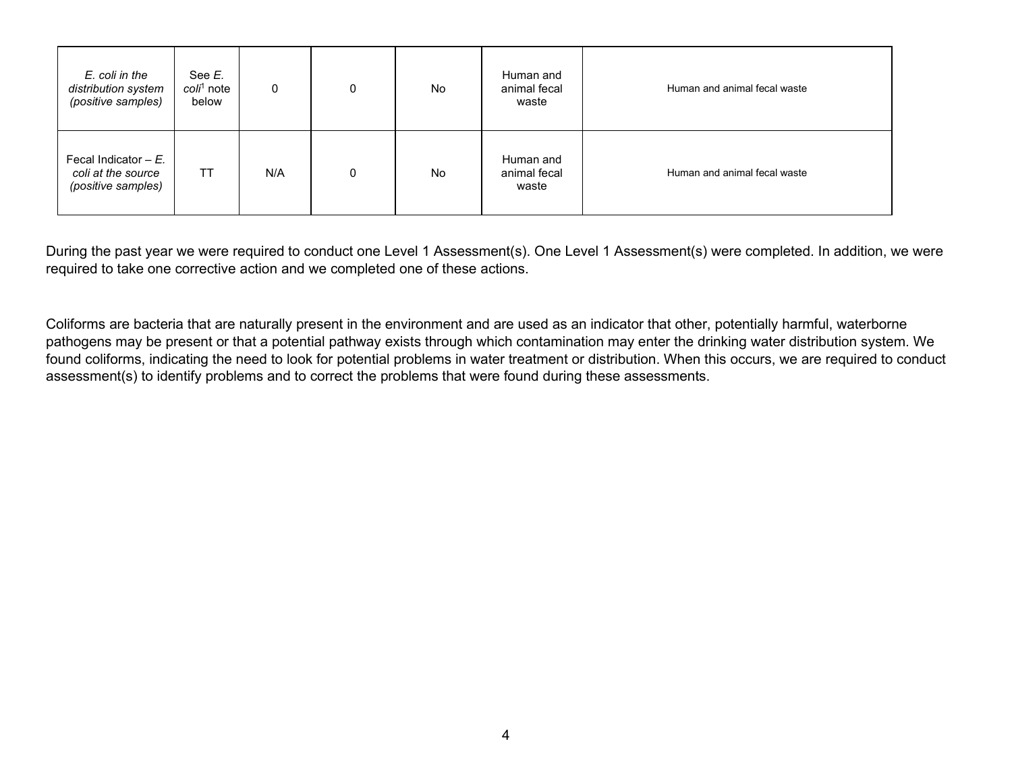| E. coli in the<br>distribution system<br>(positive samples)        | See E.<br>coli <sup>1</sup> note<br>below | $\mathbf 0$ | 0 | No | Human and<br>animal fecal<br>waste | Human and animal fecal waste |
|--------------------------------------------------------------------|-------------------------------------------|-------------|---|----|------------------------------------|------------------------------|
| Fecal Indicator $-E$ .<br>coli at the source<br>(positive samples) | <b>TT</b>                                 | N/A         | 0 | No | Human and<br>animal fecal<br>waste | Human and animal fecal waste |

During the past year we were required to conduct one Level 1 Assessment(s). One Level 1 Assessment(s) were completed. In addition, we were required to take one corrective action and we completed one of these actions.

Coliforms are bacteria that are naturally present in the environment and are used as an indicator that other, potentially harmful, waterborne pathogens may be present or that a potential pathway exists through which contamination may enter the drinking water distribution system. We found coliforms, indicating the need to look for potential problems in water treatment or distribution. When this occurs, we are required to conduct assessment(s) to identify problems and to correct the problems that were found during these assessments.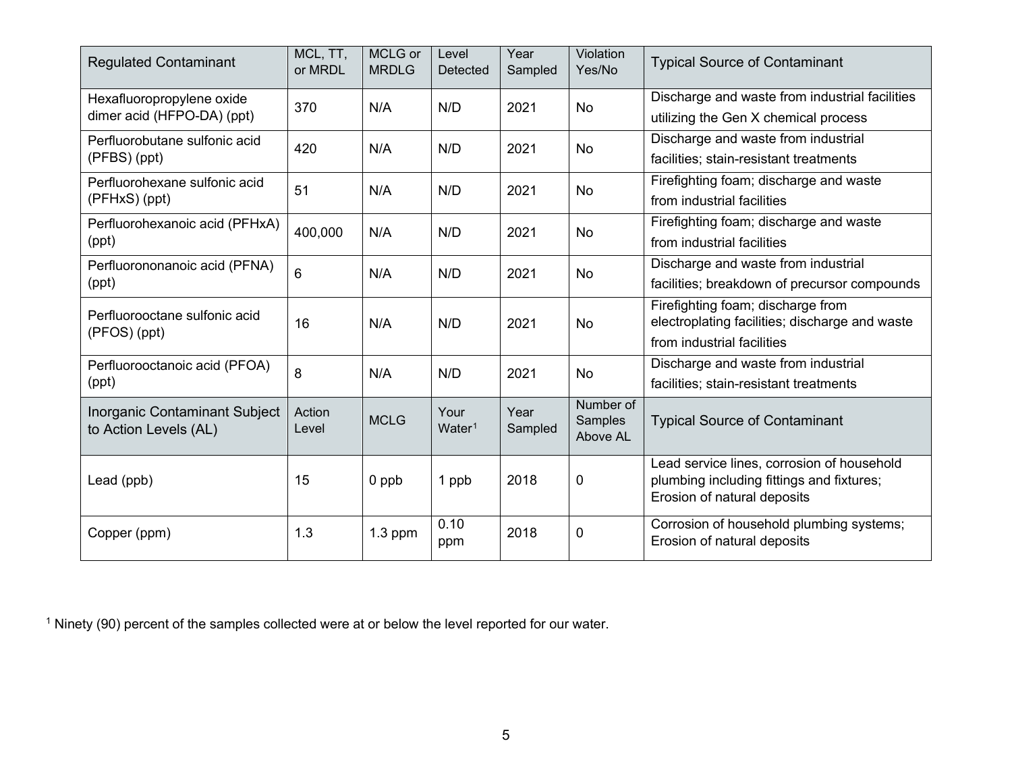<span id="page-4-0"></span>

| <b>Regulated Contaminant</b>                            | MCL, TT,<br>or MRDL | MCLG or<br><b>MRDLG</b> | Level<br>Detected          | Year<br>Sampled | Violation<br>Yes/No              | <b>Typical Source of Contaminant</b>                                                                                   |
|---------------------------------------------------------|---------------------|-------------------------|----------------------------|-----------------|----------------------------------|------------------------------------------------------------------------------------------------------------------------|
| Hexafluoropropylene oxide<br>dimer acid (HFPO-DA) (ppt) | 370                 | N/A                     | N/D                        | 2021            | <b>No</b>                        | Discharge and waste from industrial facilities<br>utilizing the Gen X chemical process                                 |
| Perfluorobutane sulfonic acid<br>(PFBS) (ppt)           | 420                 | N/A                     | N/D                        | 2021            | <b>No</b>                        | Discharge and waste from industrial<br>facilities; stain-resistant treatments                                          |
| Perfluorohexane sulfonic acid<br>(PFHxS) (ppt)          | 51                  | N/A                     | N/D                        | 2021            | No                               | Firefighting foam; discharge and waste<br>from industrial facilities                                                   |
| Perfluorohexanoic acid (PFHxA)<br>(ppt)                 | 400,000             | N/A                     | N/D                        | 2021            | <b>No</b>                        | Firefighting foam; discharge and waste<br>from industrial facilities                                                   |
| Perfluorononanoic acid (PFNA)<br>(ppt)                  | 6                   | N/A                     | N/D                        | 2021            | <b>No</b>                        | Discharge and waste from industrial<br>facilities; breakdown of precursor compounds                                    |
| Perfluorooctane sulfonic acid<br>(PFOS) (ppt)           | 16                  | N/A                     | N/D                        | 2021            | No                               | Firefighting foam; discharge from<br>electroplating facilities; discharge and waste<br>from industrial facilities      |
| Perfluorooctanoic acid (PFOA)<br>(ppt)                  | 8                   | N/A                     | N/D                        | 2021            | <b>No</b>                        | Discharge and waste from industrial<br>facilities; stain-resistant treatments                                          |
| Inorganic Contaminant Subject<br>to Action Levels (AL)  | Action<br>Level     | <b>MCLG</b>             | Your<br>Water <sup>1</sup> | Year<br>Sampled | Number of<br>Samples<br>Above AL | <b>Typical Source of Contaminant</b>                                                                                   |
| Lead (ppb)                                              | 15                  | 0 ppb                   | 1 ppb                      | 2018            | 0                                | Lead service lines, corrosion of household<br>plumbing including fittings and fixtures;<br>Erosion of natural deposits |
| Copper (ppm)                                            | 1.3                 | $1.3$ ppm               | 0.10<br>ppm                | 2018            | 0                                | Corrosion of household plumbing systems;<br>Erosion of natural deposits                                                |

<sup>1</sup> Ninety (90) percent of the samples collected were at or below the level reported for our water.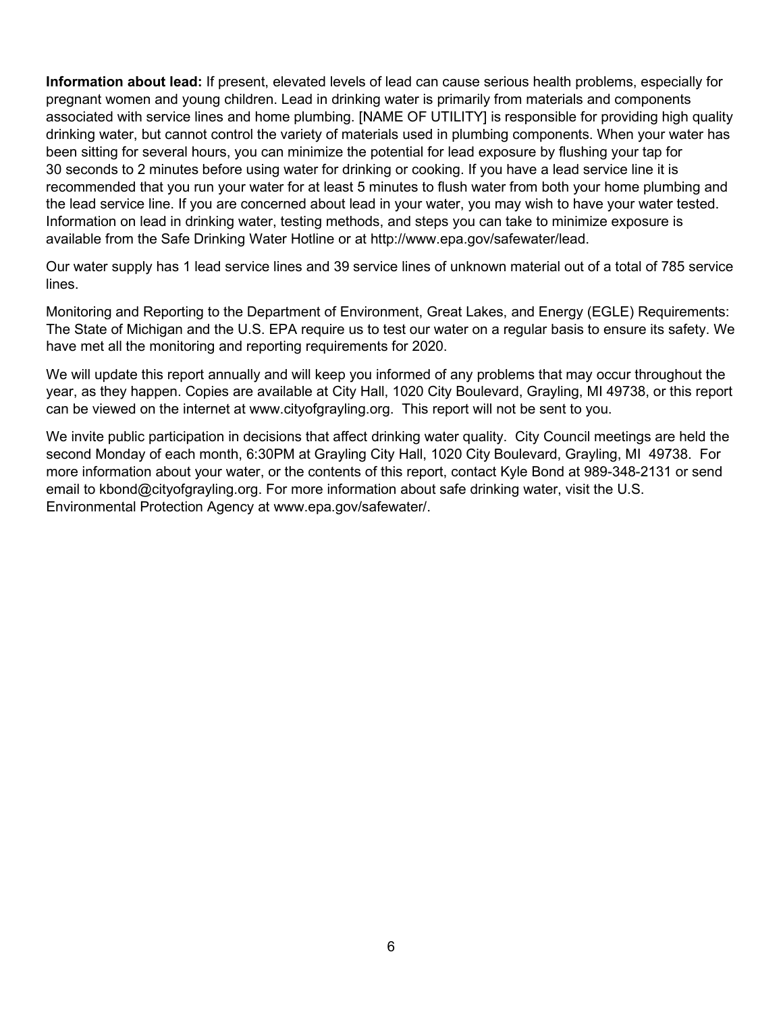**Information about lead:** If present, elevated levels of lead can cause serious health problems, especially for pregnant women and young children. Lead in drinking water is primarily from materials and components associated with service lines and home plumbing. [NAME OF UTILITY] is responsible for providing high quality drinking water, but cannot control the variety of materials used in plumbing components. When your water has been sitting for several hours, you can minimize the potential for lead exposure by flushing your tap for 30 seconds to 2 minutes before using water for drinking or cooking. If you have a lead service line it is recommended that you run your water for at least 5 minutes to flush water from both your home plumbing and the lead service line. If you are concerned about lead in your water, you may wish to have your water tested. Information on lead in drinking water, testing methods, and steps you can take to minimize exposure is available from the Safe Drinking Water Hotline or at http://www.epa.gov/safewater/lead.

Our water supply has 1 lead service lines and 39 service lines of unknown material out of a total of 785 service lines.

Monitoring and Reporting to the Department of Environment, Great Lakes, and Energy (EGLE) Requirements: The State of Michigan and the U.S. EPA require us to test our water on a regular basis to ensure its safety. We have met all the monitoring and reporting requirements for 2020.

We will update this report annually and will keep you informed of any problems that may occur throughout the year, as they happen. Copies are available at City Hall, 1020 City Boulevard, Grayling, MI 49738, or this report can be viewed on the internet at www.cityofgrayling.org. This report will not be sent to you.

We invite public participation in decisions that affect drinking water quality. City Council meetings are held the second Monday of each month, 6:30PM at Grayling City Hall, 1020 City Boulevard, Grayling, MI 49738. For more information about your water, or the contents of this report, contact Kyle Bond at 989-348-2131 or send email to kbond@cityofgrayling.org. For more information about safe drinking water, visit the U.S. Environmental Protection Agency at www.epa.gov/safewater/.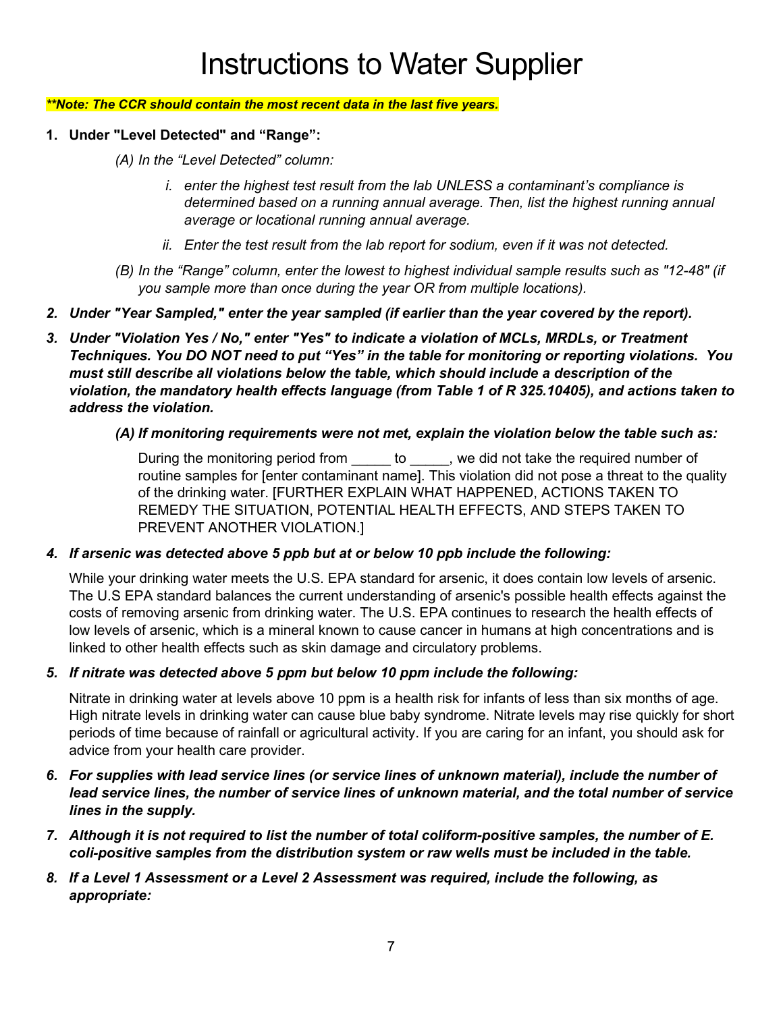#### *\*\*Note: The CCR should contain the most recent data in the last five years.*

- **1. Under "Level Detected" and "Range":**
	- *(A) In the "Level Detected" column:*
		- *i. enter the highest test result from the lab UNLESS a contaminant's compliance is determined based on a running annual average. Then, list the highest running annual average or locational running annual average.*
		- *ii. Enter the test result from the lab report for sodium, even if it was not detected.*
	- *(B) In the "Range" column, enter the lowest to highest individual sample results such as "12-48" (if you sample more than once during the year OR from multiple locations).*
- *2. Under "Year Sampled," enter the year sampled (if earlier than the year covered by the report).*
- *3. Under "Violation Yes / No," enter "Yes" to indicate a violation of MCLs, MRDLs, or Treatment Techniques. You DO NOT need to put "Yes" in the table for monitoring or reporting violations. You must still describe all violations below the table, which should include a description of the violation, the mandatory health effects language (from Table 1 of R 325.10405), and actions taken to address the violation.* 
	- *(A) If monitoring requirements were not met, explain the violation below the table such as:*

During the monitoring period from to with we did not take the required number of routine samples for [enter contaminant name]. This violation did not pose a threat to the quality of the drinking water. [FURTHER EXPLAIN WHAT HAPPENED, ACTIONS TAKEN TO REMEDY THE SITUATION, POTENTIAL HEALTH EFFECTS, AND STEPS TAKEN TO PREVENT ANOTHER VIOLATION.]

#### *4. If arsenic was detected above 5 ppb but at or below 10 ppb include the following:*

While your drinking water meets the U.S. EPA standard for arsenic, it does contain low levels of arsenic. The U.S EPA standard balances the current understanding of arsenic's possible health effects against the costs of removing arsenic from drinking water. The U.S. EPA continues to research the health effects of low levels of arsenic, which is a mineral known to cause cancer in humans at high concentrations and is linked to other health effects such as skin damage and circulatory problems.

#### *5. If nitrate was detected above 5 ppm but below 10 ppm include the following:*

Nitrate in drinking water at levels above 10 ppm is a health risk for infants of less than six months of age. High nitrate levels in drinking water can cause blue baby syndrome. Nitrate levels may rise quickly for short periods of time because of rainfall or agricultural activity. If you are caring for an infant, you should ask for advice from your health care provider.

- *6. For supplies with lead service lines (or service lines of unknown material), include the number of lead service lines, the number of service lines of unknown material, and the total number of service lines in the supply.*
- *7. Although it is not required to list the number of total coliform-positive samples, the number of E. coli-positive samples from the distribution system or raw wells must be included in the table.*
- *8. If a Level 1 Assessment or a Level 2 Assessment was required, include the following, as appropriate:*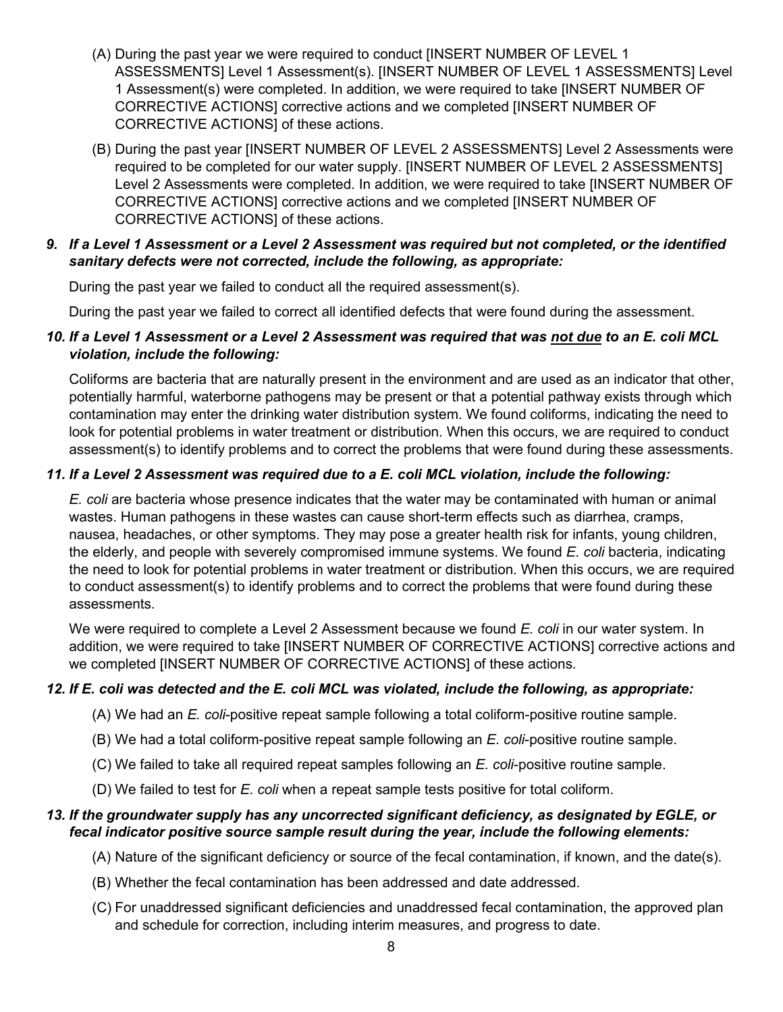- (A) During the past year we were required to conduct [INSERT NUMBER OF LEVEL 1 ASSESSMENTS] Level 1 Assessment(s). [INSERT NUMBER OF LEVEL 1 ASSESSMENTS] Level 1 Assessment(s) were completed. In addition, we were required to take [INSERT NUMBER OF CORRECTIVE ACTIONS] corrective actions and we completed [INSERT NUMBER OF CORRECTIVE ACTIONS] of these actions.
- (B) During the past year [INSERT NUMBER OF LEVEL 2 ASSESSMENTS] Level 2 Assessments were required to be completed for our water supply. [INSERT NUMBER OF LEVEL 2 ASSESSMENTS] Level 2 Assessments were completed. In addition, we were required to take [INSERT NUMBER OF CORRECTIVE ACTIONS] corrective actions and we completed [INSERT NUMBER OF CORRECTIVE ACTIONS] of these actions.

#### *9. If a Level 1 Assessment or a Level 2 Assessment was required but not completed, or the identified sanitary defects were not corrected, include the following, as appropriate:*

During the past year we failed to conduct all the required assessment(s).

During the past year we failed to correct all identified defects that were found during the assessment.

## *10. If a Level 1 Assessment or a Level 2 Assessment was required that was not due to an E. coli MCL violation, include the following:*

Coliforms are bacteria that are naturally present in the environment and are used as an indicator that other, potentially harmful, waterborne pathogens may be present or that a potential pathway exists through which contamination may enter the drinking water distribution system. We found coliforms, indicating the need to look for potential problems in water treatment or distribution. When this occurs, we are required to conduct assessment(s) to identify problems and to correct the problems that were found during these assessments.

# *11. If a Level 2 Assessment was required due to a E. coli MCL violation, include the following:*

*E. coli* are bacteria whose presence indicates that the water may be contaminated with human or animal wastes. Human pathogens in these wastes can cause short-term effects such as diarrhea, cramps, nausea, headaches, or other symptoms. They may pose a greater health risk for infants, young children, the elderly, and people with severely compromised immune systems. We found *E. coli* bacteria, indicating the need to look for potential problems in water treatment or distribution. When this occurs, we are required to conduct assessment(s) to identify problems and to correct the problems that were found during these assessments.

We were required to complete a Level 2 Assessment because we found *E. coli* in our water system. In addition, we were required to take [INSERT NUMBER OF CORRECTIVE ACTIONS] corrective actions and we completed [INSERT NUMBER OF CORRECTIVE ACTIONS] of these actions.

# *12. If E. coli was detected and the E. coli MCL was violated, include the following, as appropriate:*

- (A) We had an *E. coli*-positive repeat sample following a total coliform-positive routine sample.
- (B) We had a total coliform-positive repeat sample following an *E. coli*-positive routine sample.
- (C) We failed to take all required repeat samples following an *E. coli*-positive routine sample.
- (D) We failed to test for *E. coli* when a repeat sample tests positive for total coliform.

# *13. If the groundwater supply has any uncorrected significant deficiency, as designated by EGLE, or fecal indicator positive source sample result during the year, include the following elements:*

- (A) Nature of the significant deficiency or source of the fecal contamination, if known, and the date(s).
- (B) Whether the fecal contamination has been addressed and date addressed.
- (C) For unaddressed significant deficiencies and unaddressed fecal contamination, the approved plan and schedule for correction, including interim measures, and progress to date.